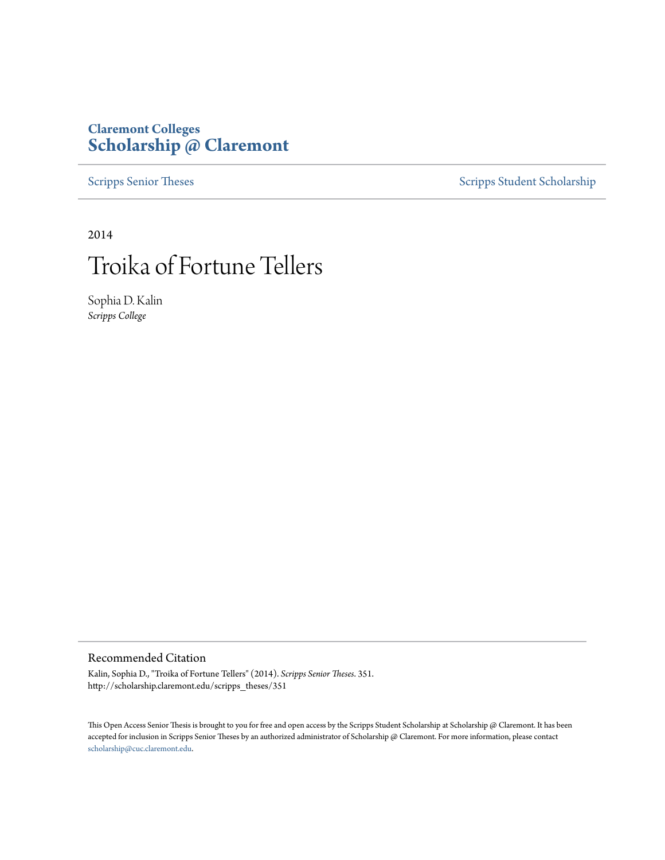### **Claremont Colleges [Scholarship @ Claremont](http://scholarship.claremont.edu)**

[Scripps Senior Theses](http://scholarship.claremont.edu/scripps_theses) [Scripps Student Scholarship](http://scholarship.claremont.edu/scripps_student)

2014

# Troika of Fortune Tellers

Sophia D. Kalin *Scripps College*

#### Recommended Citation

Kalin, Sophia D., "Troika of Fortune Tellers" (2014). *Scripps Senior Theses*. 351. http://scholarship.claremont.edu/scripps\_theses/351

This Open Access Senior Thesis is brought to you for free and open access by the Scripps Student Scholarship at Scholarship @ Claremont. It has been accepted for inclusion in Scripps Senior Theses by an authorized administrator of Scholarship @ Claremont. For more information, please contact [scholarship@cuc.claremont.edu.](mailto:scholarship@cuc.claremont.edu)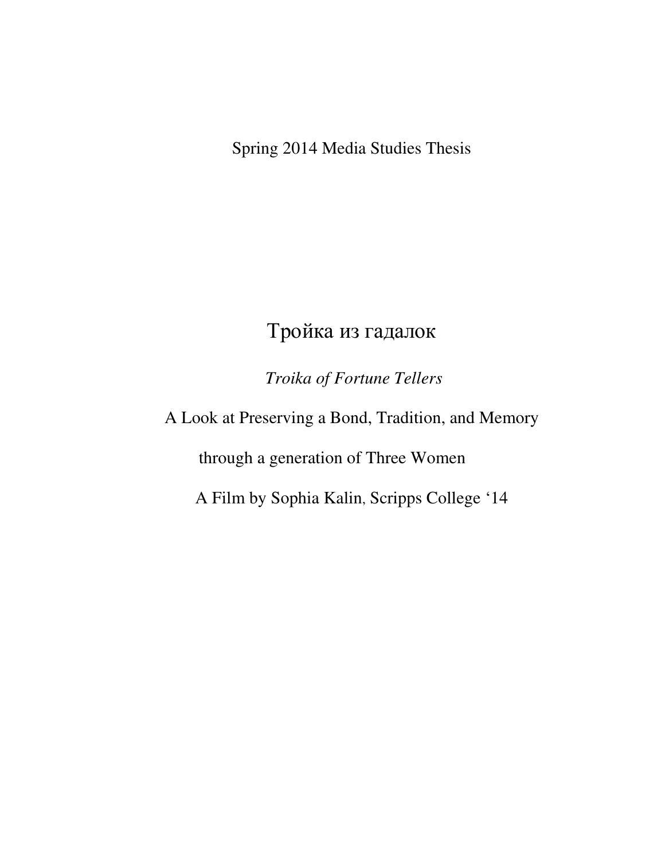Spring 2014 Media Studies Thesis

## Тройка из гадалок

 *Troika of Fortune Tellers* 

A Look at Preserving a Bond, Tradition, and Memory

through a generation of Three Women

A Film by Sophia Kalin, Scripps College '14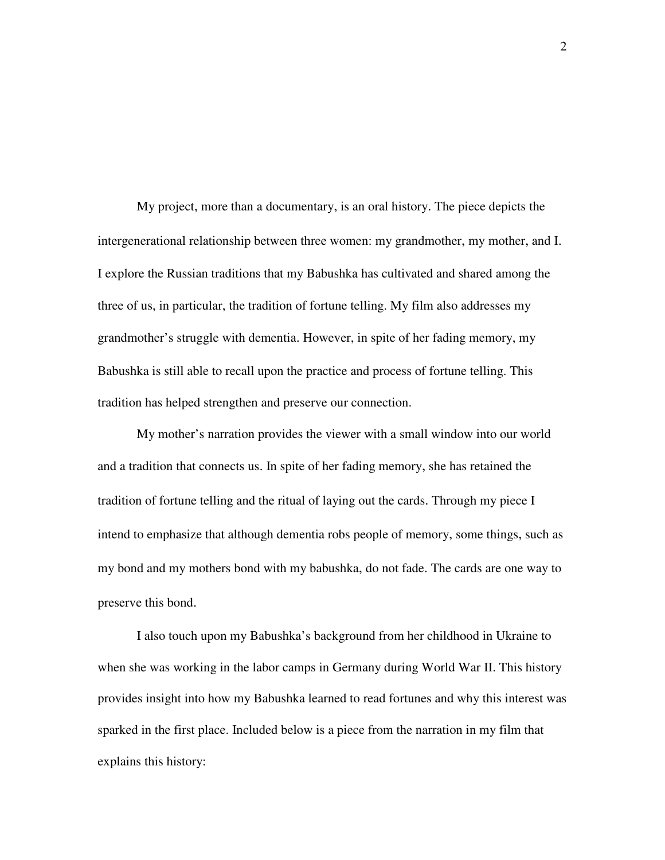My project, more than a documentary, is an oral history. The piece depicts the intergenerational relationship between three women: my grandmother, my mother, and I. I explore the Russian traditions that my Babushka has cultivated and shared among the three of us, in particular, the tradition of fortune telling. My film also addresses my grandmother's struggle with dementia. However, in spite of her fading memory, my Babushka is still able to recall upon the practice and process of fortune telling. This tradition has helped strengthen and preserve our connection.

My mother's narration provides the viewer with a small window into our world and a tradition that connects us. In spite of her fading memory, she has retained the tradition of fortune telling and the ritual of laying out the cards. Through my piece I intend to emphasize that although dementia robs people of memory, some things, such as my bond and my mothers bond with my babushka, do not fade. The cards are one way to preserve this bond.

I also touch upon my Babushka's background from her childhood in Ukraine to when she was working in the labor camps in Germany during World War II. This history provides insight into how my Babushka learned to read fortunes and why this interest was sparked in the first place. Included below is a piece from the narration in my film that explains this history: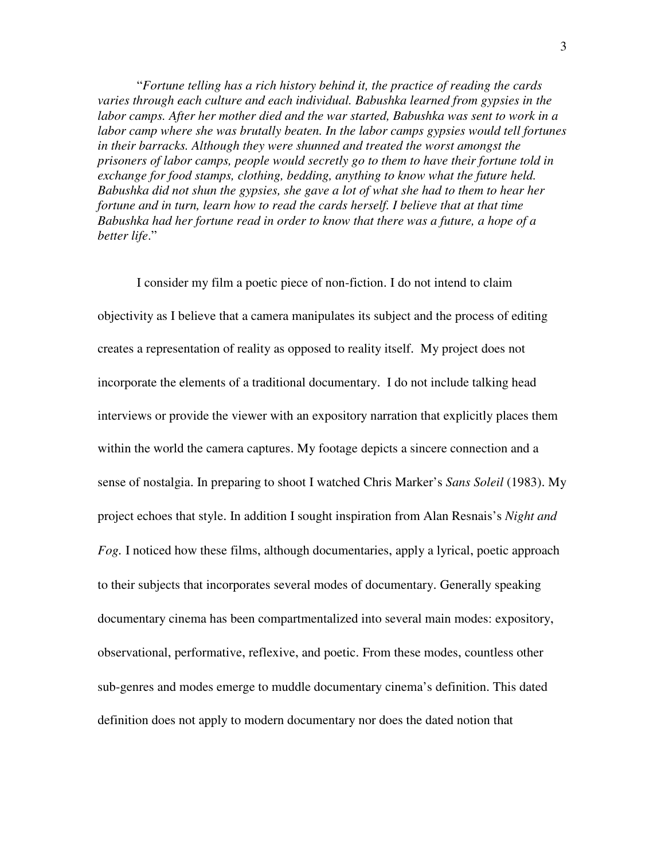"*Fortune telling has a rich history behind it, the practice of reading the cards varies through each culture and each individual. Babushka learned from gypsies in the labor camps. After her mother died and the war started, Babushka was sent to work in a labor camp where she was brutally beaten. In the labor camps gypsies would tell fortunes in their barracks. Although they were shunned and treated the worst amongst the prisoners of labor camps, people would secretly go to them to have their fortune told in exchange for food stamps, clothing, bedding, anything to know what the future held. Babushka did not shun the gypsies, she gave a lot of what she had to them to hear her fortune and in turn, learn how to read the cards herself. I believe that at that time Babushka had her fortune read in order to know that there was a future, a hope of a better life*."

I consider my film a poetic piece of non-fiction. I do not intend to claim objectivity as I believe that a camera manipulates its subject and the process of editing creates a representation of reality as opposed to reality itself. My project does not incorporate the elements of a traditional documentary. I do not include talking head interviews or provide the viewer with an expository narration that explicitly places them within the world the camera captures. My footage depicts a sincere connection and a sense of nostalgia. In preparing to shoot I watched Chris Marker's *Sans Soleil* (1983). My project echoes that style. In addition I sought inspiration from Alan Resnais's *Night and Fog.* I noticed how these films, although documentaries, apply a lyrical, poetic approach to their subjects that incorporates several modes of documentary. Generally speaking documentary cinema has been compartmentalized into several main modes: expository, observational, performative, reflexive, and poetic. From these modes, countless other sub-genres and modes emerge to muddle documentary cinema's definition. This dated definition does not apply to modern documentary nor does the dated notion that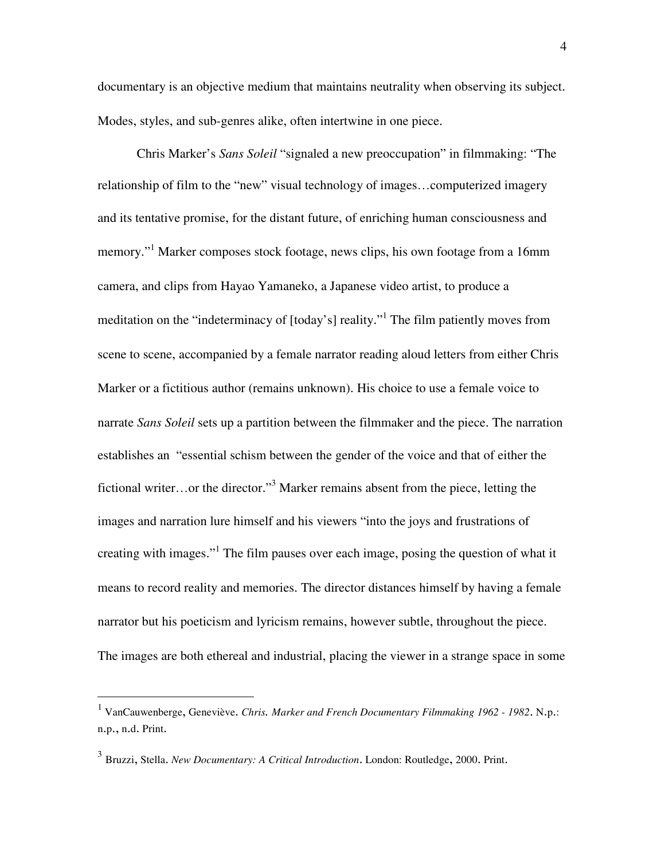documentary is an objective medium that maintains neutrality when observing its subject. Modes, styles, and sub-genres alike, often intertwine in one piece.

Chris Marker's *Sans Soleil* "signaled a new preoccupation" in filmmaking: "The relationship of film to the "new" visual technology of images…computerized imagery and its tentative promise, for the distant future, of enriching human consciousness and memory."<sup>1</sup> Marker composes stock footage, news clips, his own footage from a 16mm camera, and clips from Hayao Yamaneko, a Japanese video artist, to produce a meditation on the "indeterminacy of [today's] reality."<sup>1</sup> The film patiently moves from scene to scene, accompanied by a female narrator reading aloud letters from either Chris Marker or a fictitious author (remains unknown). His choice to use a female voice to narrate *Sans Soleil* sets up a partition between the filmmaker and the piece. The narration establishes an "essential schism between the gender of the voice and that of either the fictional writer...or the director."<sup>3</sup> Marker remains absent from the piece, letting the images and narration lure himself and his viewers "into the joys and frustrations of creating with images."<sup>1</sup> The film pauses over each image, posing the question of what it means to record reality and memories. The director distances himself by having a female narrator but his poeticism and lyricism remains, however subtle, throughout the piece. The images are both ethereal and industrial, placing the viewer in a strange space in some

 $\overline{a}$ 

<sup>1</sup> VanCauwenberge, Geneviève. *Chris. Marker and French Documentary Filmmaking 1962 - 1982*. N.p.: n.p., n.d. Print.

<sup>3</sup> Bruzzi, Stella. *New Documentary: A Critical Introduction*. London: Routledge, 2000. Print.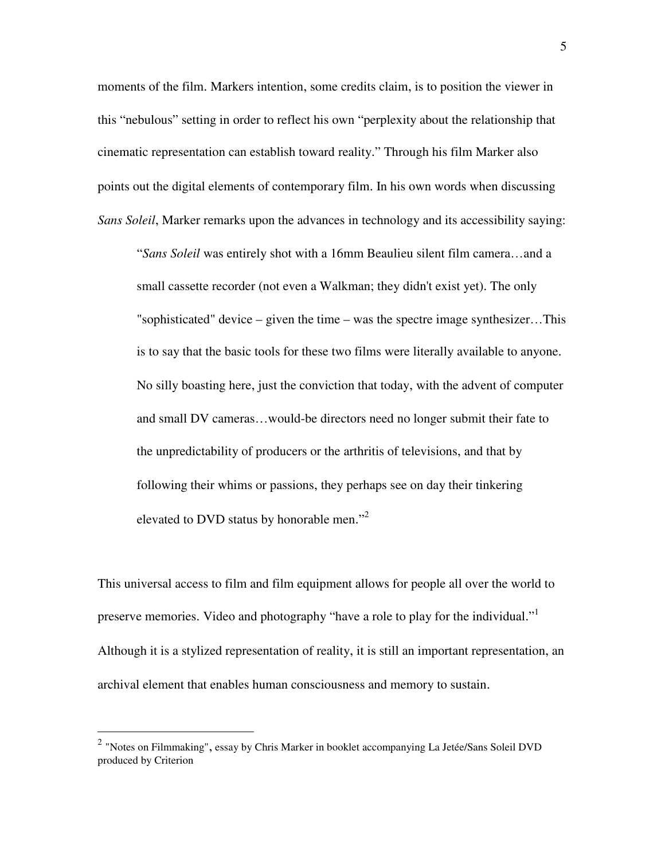moments of the film. Markers intention, some credits claim, is to position the viewer in this "nebulous" setting in order to reflect his own "perplexity about the relationship that cinematic representation can establish toward reality." Through his film Marker also points out the digital elements of contemporary film. In his own words when discussing *Sans Soleil*, Marker remarks upon the advances in technology and its accessibility saying:

"*Sans Soleil* was entirely shot with a 16mm Beaulieu silent film camera…and a small cassette recorder (not even a Walkman; they didn't exist yet). The only "sophisticated" device – given the time – was the spectre image synthesizer…This is to say that the basic tools for these two films were literally available to anyone. No silly boasting here, just the conviction that today, with the advent of computer and small DV cameras…would-be directors need no longer submit their fate to the unpredictability of producers or the arthritis of televisions, and that by following their whims or passions, they perhaps see on day their tinkering elevated to DVD status by honorable men."<sup>2</sup>

This universal access to film and film equipment allows for people all over the world to preserve memories. Video and photography "have a role to play for the individual."<sup>1</sup> Although it is a stylized representation of reality, it is still an important representation, an archival element that enables human consciousness and memory to sustain.

-

 $^2$  "Notes on Filmmaking", essay by Chris Marker in booklet accompanying La Jetée/Sans Soleil DVD produced by Criterion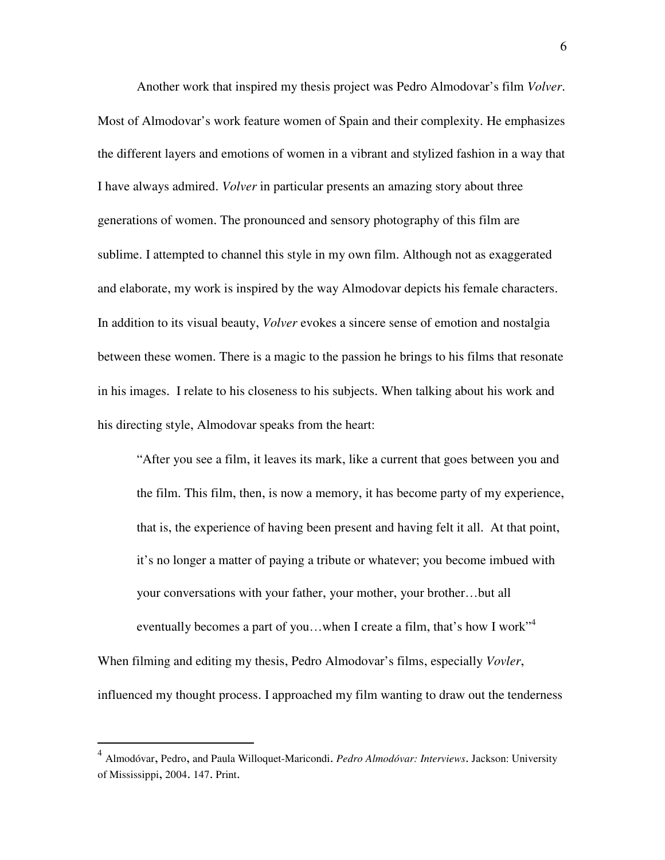Another work that inspired my thesis project was Pedro Almodovar's film *Volver*. Most of Almodovar's work feature women of Spain and their complexity. He emphasizes the different layers and emotions of women in a vibrant and stylized fashion in a way that I have always admired. *Volver* in particular presents an amazing story about three generations of women. The pronounced and sensory photography of this film are sublime. I attempted to channel this style in my own film. Although not as exaggerated and elaborate, my work is inspired by the way Almodovar depicts his female characters. In addition to its visual beauty, *Volver* evokes a sincere sense of emotion and nostalgia between these women. There is a magic to the passion he brings to his films that resonate in his images. I relate to his closeness to his subjects. When talking about his work and his directing style, Almodovar speaks from the heart:

"After you see a film, it leaves its mark, like a current that goes between you and the film. This film, then, is now a memory, it has become party of my experience, that is, the experience of having been present and having felt it all. At that point, it's no longer a matter of paying a tribute or whatever; you become imbued with your conversations with your father, your mother, your brother…but all eventually becomes a part of you...when I create a film, that's how I work<sup>"4</sup> When filming and editing my thesis, Pedro Almodovar's films, especially *Vovler*, influenced my thought process. I approached my film wanting to draw out the tenderness

-

<sup>4</sup> Almodóvar, Pedro, and Paula Willoquet-Maricondi. *Pedro Almodóvar: Interviews*. Jackson: University of Mississippi, 2004. 147. Print.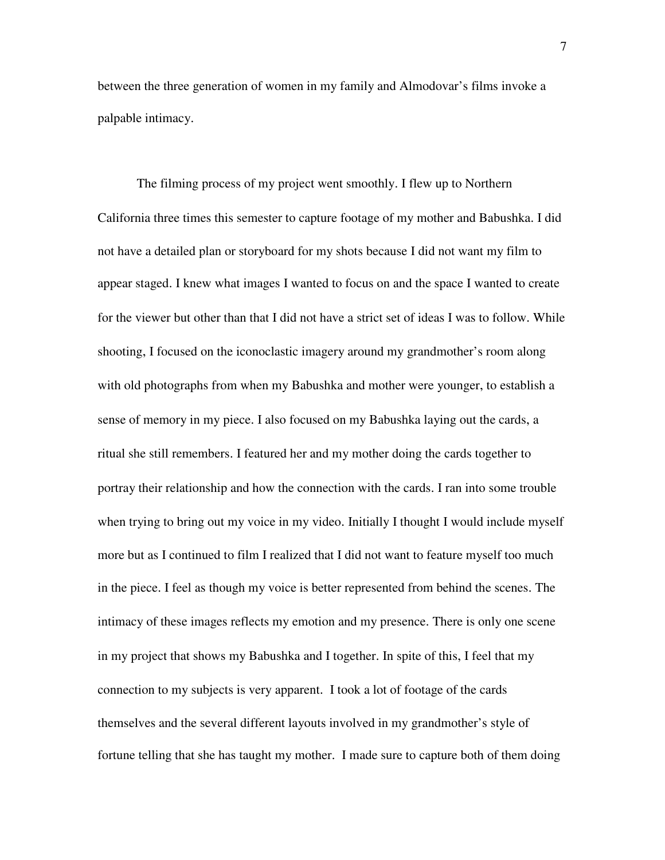between the three generation of women in my family and Almodovar's films invoke a palpable intimacy.

 The filming process of my project went smoothly. I flew up to Northern California three times this semester to capture footage of my mother and Babushka. I did not have a detailed plan or storyboard for my shots because I did not want my film to appear staged. I knew what images I wanted to focus on and the space I wanted to create for the viewer but other than that I did not have a strict set of ideas I was to follow. While shooting, I focused on the iconoclastic imagery around my grandmother's room along with old photographs from when my Babushka and mother were younger, to establish a sense of memory in my piece. I also focused on my Babushka laying out the cards, a ritual she still remembers. I featured her and my mother doing the cards together to portray their relationship and how the connection with the cards. I ran into some trouble when trying to bring out my voice in my video. Initially I thought I would include myself more but as I continued to film I realized that I did not want to feature myself too much in the piece. I feel as though my voice is better represented from behind the scenes. The intimacy of these images reflects my emotion and my presence. There is only one scene in my project that shows my Babushka and I together. In spite of this, I feel that my connection to my subjects is very apparent. I took a lot of footage of the cards themselves and the several different layouts involved in my grandmother's style of fortune telling that she has taught my mother. I made sure to capture both of them doing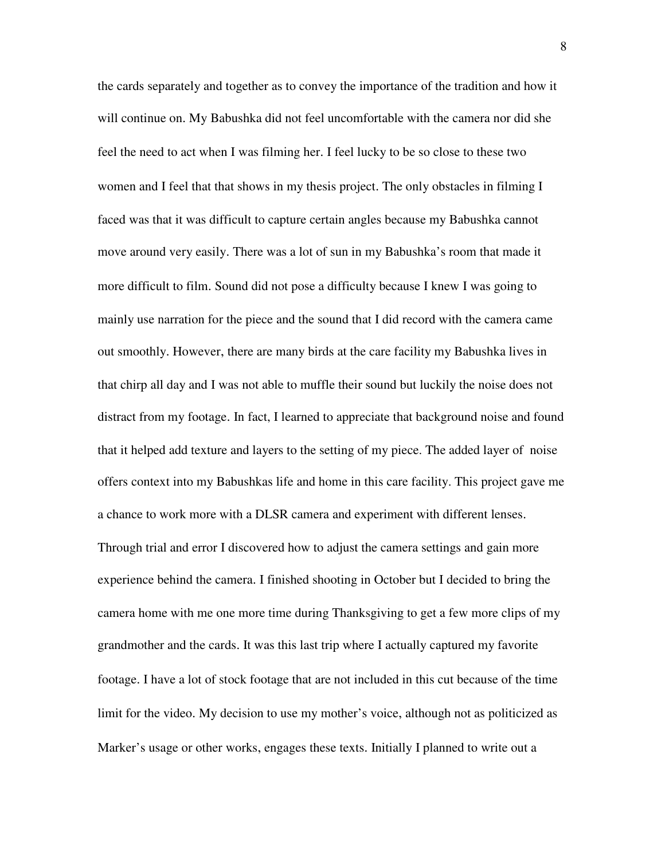the cards separately and together as to convey the importance of the tradition and how it will continue on. My Babushka did not feel uncomfortable with the camera nor did she feel the need to act when I was filming her. I feel lucky to be so close to these two women and I feel that that shows in my thesis project. The only obstacles in filming I faced was that it was difficult to capture certain angles because my Babushka cannot move around very easily. There was a lot of sun in my Babushka's room that made it more difficult to film. Sound did not pose a difficulty because I knew I was going to mainly use narration for the piece and the sound that I did record with the camera came out smoothly. However, there are many birds at the care facility my Babushka lives in that chirp all day and I was not able to muffle their sound but luckily the noise does not distract from my footage. In fact, I learned to appreciate that background noise and found that it helped add texture and layers to the setting of my piece. The added layer of noise offers context into my Babushkas life and home in this care facility. This project gave me a chance to work more with a DLSR camera and experiment with different lenses. Through trial and error I discovered how to adjust the camera settings and gain more experience behind the camera. I finished shooting in October but I decided to bring the camera home with me one more time during Thanksgiving to get a few more clips of my grandmother and the cards. It was this last trip where I actually captured my favorite footage. I have a lot of stock footage that are not included in this cut because of the time limit for the video. My decision to use my mother's voice, although not as politicized as Marker's usage or other works, engages these texts. Initially I planned to write out a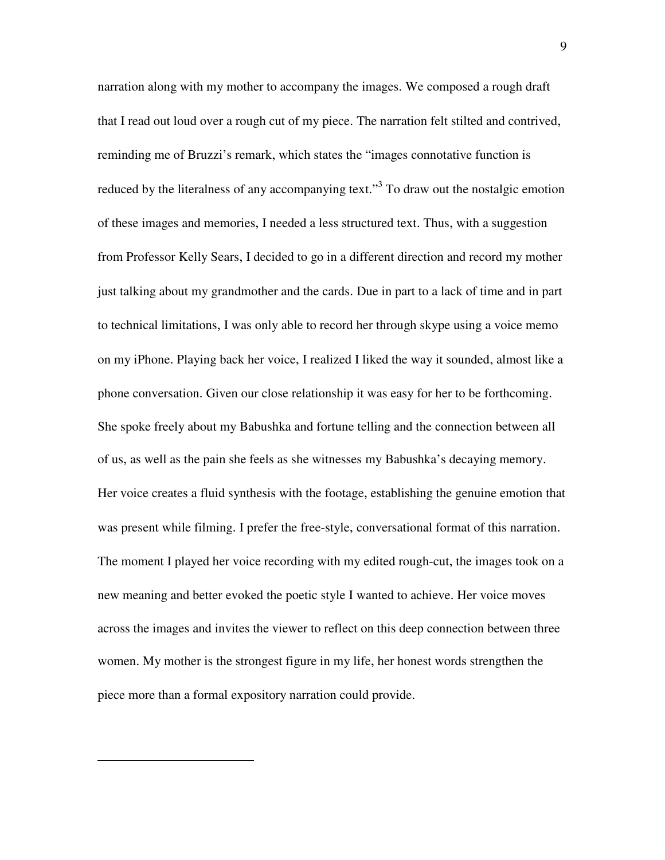narration along with my mother to accompany the images. We composed a rough draft that I read out loud over a rough cut of my piece. The narration felt stilted and contrived, reminding me of Bruzzi's remark, which states the "images connotative function is reduced by the literalness of any accompanying text."<sup>3</sup> To draw out the nostalgic emotion of these images and memories, I needed a less structured text. Thus, with a suggestion from Professor Kelly Sears, I decided to go in a different direction and record my mother just talking about my grandmother and the cards. Due in part to a lack of time and in part to technical limitations, I was only able to record her through skype using a voice memo on my iPhone. Playing back her voice, I realized I liked the way it sounded, almost like a phone conversation. Given our close relationship it was easy for her to be forthcoming. She spoke freely about my Babushka and fortune telling and the connection between all of us, as well as the pain she feels as she witnesses my Babushka's decaying memory. Her voice creates a fluid synthesis with the footage, establishing the genuine emotion that was present while filming. I prefer the free-style, conversational format of this narration. The moment I played her voice recording with my edited rough-cut, the images took on a new meaning and better evoked the poetic style I wanted to achieve. Her voice moves across the images and invites the viewer to reflect on this deep connection between three women. My mother is the strongest figure in my life, her honest words strengthen the piece more than a formal expository narration could provide.

<u>.</u>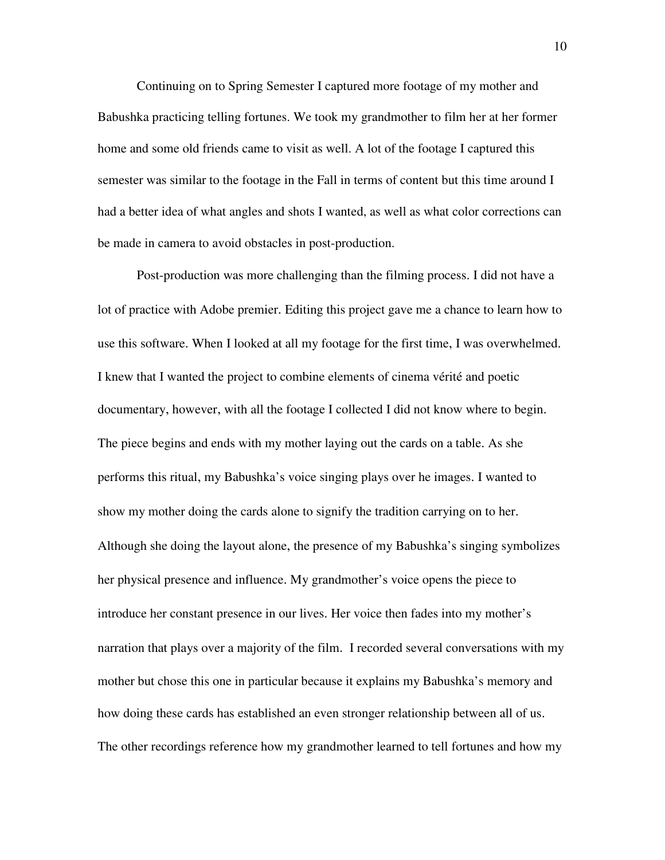Continuing on to Spring Semester I captured more footage of my mother and Babushka practicing telling fortunes. We took my grandmother to film her at her former home and some old friends came to visit as well. A lot of the footage I captured this semester was similar to the footage in the Fall in terms of content but this time around I had a better idea of what angles and shots I wanted, as well as what color corrections can be made in camera to avoid obstacles in post-production.

Post-production was more challenging than the filming process. I did not have a lot of practice with Adobe premier. Editing this project gave me a chance to learn how to use this software. When I looked at all my footage for the first time, I was overwhelmed. I knew that I wanted the project to combine elements of cinema vérité and poetic documentary, however, with all the footage I collected I did not know where to begin. The piece begins and ends with my mother laying out the cards on a table. As she performs this ritual, my Babushka's voice singing plays over he images. I wanted to show my mother doing the cards alone to signify the tradition carrying on to her. Although she doing the layout alone, the presence of my Babushka's singing symbolizes her physical presence and influence. My grandmother's voice opens the piece to introduce her constant presence in our lives. Her voice then fades into my mother's narration that plays over a majority of the film. I recorded several conversations with my mother but chose this one in particular because it explains my Babushka's memory and how doing these cards has established an even stronger relationship between all of us. The other recordings reference how my grandmother learned to tell fortunes and how my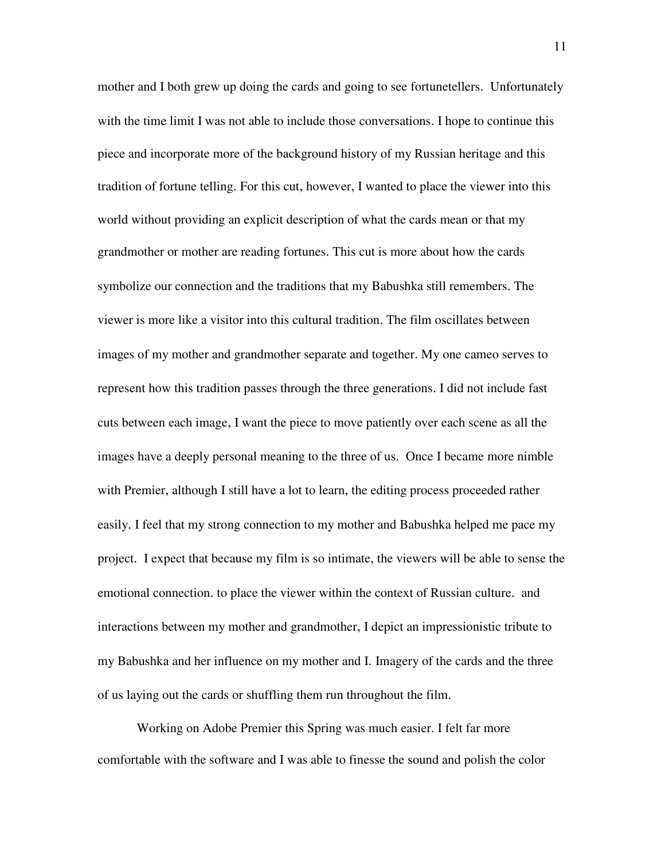mother and I both grew up doing the cards and going to see fortunetellers. Unfortunately with the time limit I was not able to include those conversations. I hope to continue this piece and incorporate more of the background history of my Russian heritage and this tradition of fortune telling. For this cut, however, I wanted to place the viewer into this world without providing an explicit description of what the cards mean or that my grandmother or mother are reading fortunes. This cut is more about how the cards symbolize our connection and the traditions that my Babushka still remembers. The viewer is more like a visitor into this cultural tradition. The film oscillates between images of my mother and grandmother separate and together. My one cameo serves to represent how this tradition passes through the three generations. I did not include fast cuts between each image, I want the piece to move patiently over each scene as all the images have a deeply personal meaning to the three of us. Once I became more nimble with Premier, although I still have a lot to learn, the editing process proceeded rather easily. I feel that my strong connection to my mother and Babushka helped me pace my project. I expect that because my film is so intimate, the viewers will be able to sense the emotional connection. to place the viewer within the context of Russian culture. and interactions between my mother and grandmother, I depict an impressionistic tribute to my Babushka and her influence on my mother and I. Imagery of the cards and the three of us laying out the cards or shuffling them run throughout the film.

Working on Adobe Premier this Spring was much easier. I felt far more comfortable with the software and I was able to finesse the sound and polish the color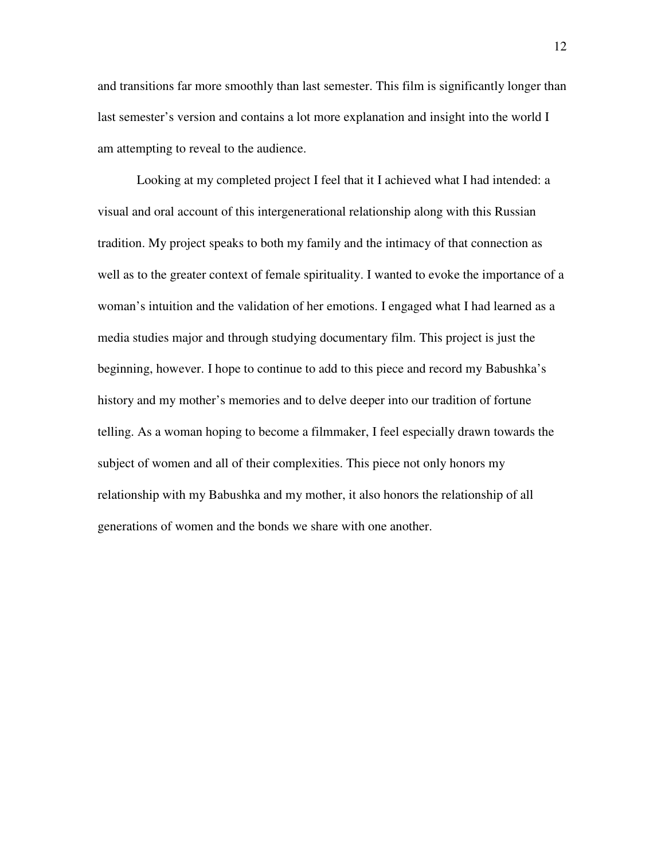and transitions far more smoothly than last semester. This film is significantly longer than last semester's version and contains a lot more explanation and insight into the world I am attempting to reveal to the audience.

Looking at my completed project I feel that it I achieved what I had intended: a visual and oral account of this intergenerational relationship along with this Russian tradition. My project speaks to both my family and the intimacy of that connection as well as to the greater context of female spirituality. I wanted to evoke the importance of a woman's intuition and the validation of her emotions. I engaged what I had learned as a media studies major and through studying documentary film. This project is just the beginning, however. I hope to continue to add to this piece and record my Babushka's history and my mother's memories and to delve deeper into our tradition of fortune telling. As a woman hoping to become a filmmaker, I feel especially drawn towards the subject of women and all of their complexities. This piece not only honors my relationship with my Babushka and my mother, it also honors the relationship of all generations of women and the bonds we share with one another.